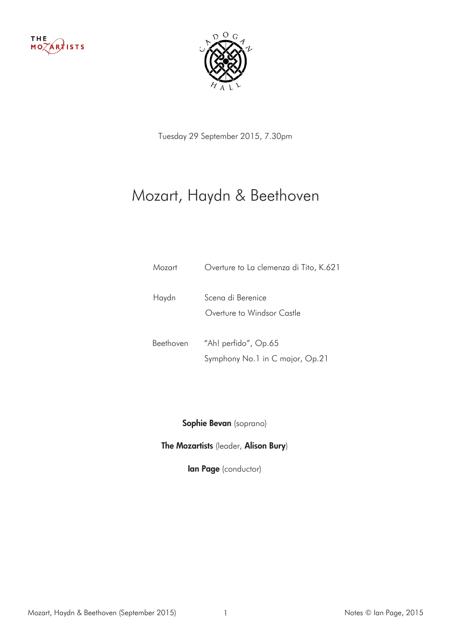



Tuesday 29 September 2015, 7.30pm

## Mozart, Haydn & Beethoven

| Mozart    | Overture to La clemenza di Tito, K.621          |
|-----------|-------------------------------------------------|
| Haydn     | Scena di Berenice<br>Overture to Windsor Castle |
| Beethoven | "Ah! perfido", Op.65                            |
|           | Symphony No.1 in C major, Op.21                 |

Sophie Bevan (soprano)

The Mozartists (leader, Alison Bury)

**Ian Page** (conductor)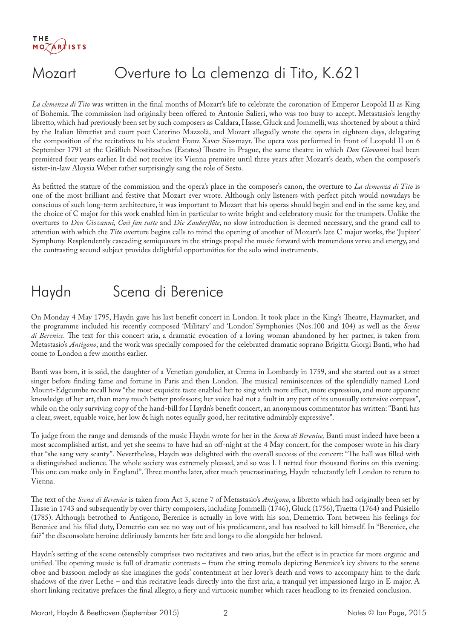## Mozart Overture to La clemenza di Tito, K.621

*La clemenza di Tito* was written in the final months of Mozart's life to celebrate the coronation of Emperor Leopold II as King of Bohemia. The commission had originally been offered to Antonio Salieri, who was too busy to accept. Metastasio's lengthy libretto, which had previously been set by such composers as Caldara, Hasse, Gluck and Jommelli, was shortened by about a third by the Italian librettist and court poet Caterino Mazzolà, and Mozart allegedly wrote the opera in eighteen days, delegating the composition of the recitatives to his student Franz Xaver Süssmayr. The opera was performed in front of Leopold II on 6 September 1791 at the Gräflich Nostitzsches (Estates) Theatre in Prague, the same theatre in which *Don Giovanni* had been premièred four years earlier. It did not receive its Vienna première until three years after Mozart's death, when the composer's sister-in-law Aloysia Weber rather surprisingly sang the role of Sesto.

As befitted the stature of the commission and the opera's place in the composer's canon, the overture to *La clemenza di Tito* is one of the most brilliant and festive that Mozart ever wrote. Although only listeners with perfect pitch would nowadays be conscious of such long-term architecture, it was important to Mozart that his operas should begin and end in the same key, and the choice of C major for this work enabled him in particular to write bright and celebratory music for the trumpets. Unlike the overtures to *Don Giovanni, Così fan tutte* and *Die Zauberflöte*, no slow introduction is deemed necessary, and the grand call to attention with which the *Tito* overture begins calls to mind the opening of another of Mozart's late C major works, the 'Jupiter' Symphony. Resplendently cascading semiquavers in the strings propel the music forward with tremendous verve and energy, and the contrasting second subject provides delightful opportunities for the solo wind instruments.

### Haydn Scena di Berenice

On Monday 4 May 1795, Haydn gave his last benefit concert in London. It took place in the King's Theatre, Haymarket, and the programme included his recently composed 'Military' and 'London' Symphonies (Nos.100 and 104) as well as the *Scena di Berenice.* The text for this concert aria, a dramatic evocation of a loving woman abandoned by her partner, is taken from Metastasio's *Antigono*, and the work was specially composed for the celebrated dramatic soprano Brigitta Giorgi Banti, who had come to London a few months earlier.

Banti was born, it is said, the daughter of a Venetian gondolier, at Crema in Lombardy in 1759, and she started out as a street singer before finding fame and fortune in Paris and then London. The musical reminiscences of the splendidly named Lord Mount-Edgcumbe recall how "the most exquisite taste enabled her to sing with more effect, more expression, and more apparent knowledge of her art, than many much better professors; her voice had not a fault in any part of its unusually extensive compass", while on the only surviving copy of the hand-bill for Haydn's benefit concert, an anonymous commentator has written: "Banti has a clear, sweet, equable voice, her low & high notes equally good, her recitative admirably expressive".

To judge from the range and demands of the music Haydn wrote for her in the *Scena di Berenice,* Banti must indeed have been a most accomplished artist, and yet she seems to have had an off-night at the 4 May concert, for the composer wrote in his diary that "she sang very scanty". Nevertheless, Haydn was delighted with the overall success of the concert: "The hall was filled with a distinguished audience. The whole society was extremely pleased, and so was I. I netted four thousand florins on this evening. This one can make only in England". Three months later, after much procrastinating, Haydn reluctantly left London to return to Vienna.

The text of the *Scena di Berenice* is taken from Act 3, scene 7 of Metastasio's *Antigono*, a libretto which had originally been set by Hasse in 1743 and subsequently by over thirty composers, including Jommelli (1746), Gluck (1756), Traetta (1764) and Paisiello (1785). Although betrothed to Antigono, Berenice is actually in love with his son, Demetrio. Torn between his feelings for Berenice and his filial duty, Demetrio can see no way out of his predicament, and has resolved to kill himself. In "Berenice, che fai?" the disconsolate heroine deliriously laments her fate and longs to die alongside her beloved.

Haydn's setting of the scene ostensibly comprises two recitatives and two arias, but the effect is in practice far more organic and unified. The opening music is full of dramatic contrasts – from the string tremolo depicting Berenice's icy shivers to the serene oboe and bassoon melody as she imagines the gods' contentment at her lover's death and vows to accompany him to the dark shadows of the river Lethe – and this recitative leads directly into the first aria, a tranquil yet impassioned largo in E major. A short linking recitative prefaces the final allegro, a fiery and virtuosic number which races headlong to its frenzied conclusion.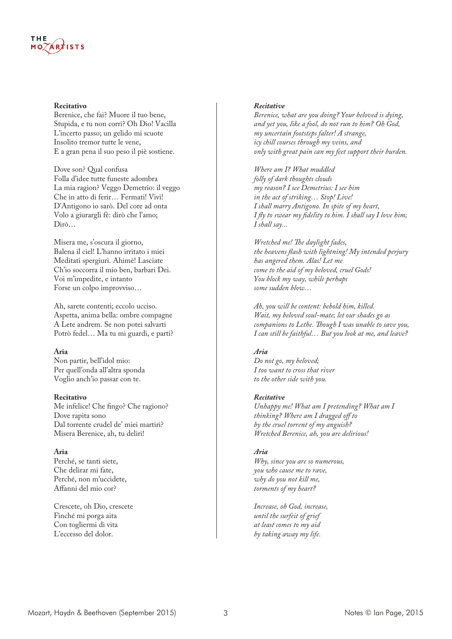# THE

#### **Recitativo**

Berenice, che fai? Muore il tuo bene, Stupida, e tu non corri? Oh Dio! Vacilla L'incerto passo; un gelido mi scuote Insolito tremor tutte le vene, E a gran pena il suo peso il piè sostiene.

Dove son? Qual confusa Folla d'idee tutte funeste adombra La mia ragion? Veggo Demetrio: il veggo Che in atto di ferir… Fermati! Vivi! D'Antigono io sarò. Del core ad onta Volo a giurargli fè: dirò che l'amo; Dirò…

Misera me, s'oscura il giorno, Balena il ciel! L'hanno irritato i miei Meditati spergiuri. Ahimè! Lasciate Ch'io soccorra il mio ben, barbari Dei. Voi m'impedite, e intanto Forse un colpo improvviso…

Ah, sarete contenti; eccolo ucciso. Aspetta, anima bella: ombre compagne A Lete andrem. Se non potei salvarti Potrò fedel… Ma tu mi guardi, e parti?

### **Aria**

Non partir, bell'idol mio: Per quell'onda all'altra sponda Voglio anch'io passar con te.

### **Recitativo**

Me infelice! Che fingo? Che ragiono? Dove rapita sono Dal torrente crudel de' miei martiri? Misera Berenice, ah, tu deliri!

### **Aria**

Perché, se tanti siete, Che delirar mi fate, Perché, non m'uccidete, Affanni del mio cor?

Crescete, oh Dio, crescete Finché mi porga aita Con togliermi di vita L'eccesso del dolor.

#### *Recitative*

*Berenice, what are you doing? Your beloved is dying, and yet you, like a fool, do not run to him? Oh God, my uncertain footsteps falter! A strange, icy chill courses through my veins, and only with great pain can my feet support their burden.*

*Where am I? What muddled folly of dark thoughts clouds my reason? I see Demetrius: I see him in the act of striking… Stop! Live! I shall marry Antigono. In spite of my heart, I fly to swear my fidelity to him. I shall say I love him; I shall say...*

*Wretched me! The daylight fades, the heavens flash with lightning! My intended perjury has angered them. Alas! Let me come to the aid of my beloved, cruel Gods! You block my way, while perhaps some sudden blow…*

*Ah, you will be content: behold him, killed. Wait, my beloved soul-mate; let our shades go as companions to Lethe. Though I was unable to save you, I can still be faithful… But you look at me, and leave?* 

### *Aria*

*Do not go, my beloved; I too want to cross that river to the other side with you.*

### *Recitative*

*Unhappy me! What am I pretending? What am I thinking? Where am I dragged off to by the cruel torrent of my anguish? Wretched Berenice, ah, you are delirious!*

### *Aria*

*Why, since you are so numerous, you who cause me to rave, why do you not kill me, torments of my heart?*

*Increase, oh God, increase, until the surfeit of grief at least comes to my aid by taking away my life.*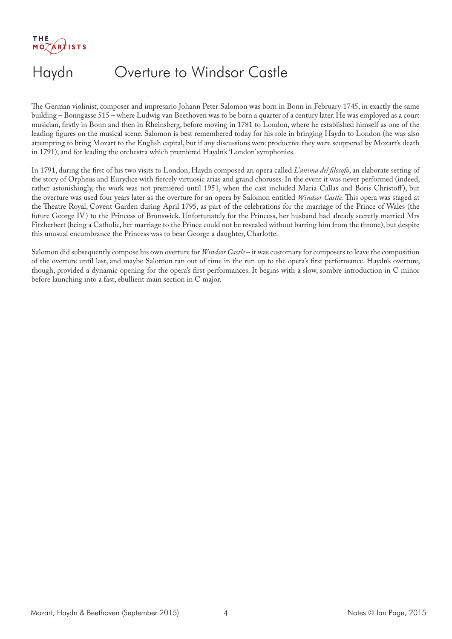$MOZARXISTS$ 

# Haydn Overture to Windsor Castle

The German violinist, composer and impresario Johann Peter Salomon was born in Bonn in February 1745, in exactly the same building – Bonngasse 515 – where Ludwig van Beethoven was to be born a quarter of a century later. He was employed as a court musician, firstly in Bonn and then in Rheinsberg, before moving in 1781 to London, where he established himself as one of the leading figures on the musical scene. Salomon is best remembered today for his role in bringing Haydn to London (he was also attempting to bring Mozart to the English capital, but if any discussions were productive they were scuppered by Mozart's death in 1791), and for leading the orchestra which premièred Haydn's 'London' symphonies.

In 1791, during the first of his two visits to London, Haydn composed an opera called *L'anima del filosofo*, an elaborate setting of the story of Orpheus and Eurydice with fiercely virtuosic arias and grand choruses. In the event it was never performed (indeed, rather astonishingly, the work was not premièred until 1951, when the cast included Maria Callas and Boris Christoff ), but the overture was used four years later as the overture for an opera by Salomon entitled *Windsor Castle.* This opera was staged at the Theatre Royal, Covent Garden during April 1795, as part of the celebrations for the marriage of the Prince of Wales (the future George IV) to the Princess of Brunswick. Unfortunately for the Princess, her husband had already secretly married Mrs Fitzherbert (being a Catholic, her marriage to the Prince could not be revealed without barring him from the throne), but despite this unusual encumbrance the Princess was to bear George a daughter, Charlotte.

Salomon did subsequently compose his own overture for *Windsor Castle* – it was customary for composers to leave the composition of the overture until last, and maybe Salomon ran out of time in the run up to the opera's first performance. Haydn's overture, though, provided a dynamic opening for the opera's first performances. It begins with a slow, sombre introduction in C minor before launching into a fast, ebullient main section in C major.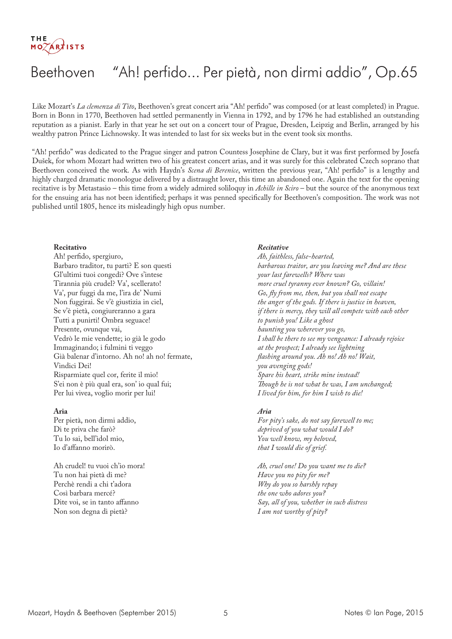## Beethoven "Ah! perfido... Per pietà, non dirmi addio", Op.65

Like Mozart's *La clemenza di Tito*, Beethoven's great concert aria "Ah! perfido" was composed (or at least completed) in Prague. Born in Bonn in 1770, Beethoven had settled permanently in Vienna in 1792, and by 1796 he had established an outstanding reputation as a pianist. Early in that year he set out on a concert tour of Prague, Dresden, Leipzig and Berlin, arranged by his wealthy patron Prince Lichnowsky. It was intended to last for six weeks but in the event took six months.

"Ah! perfido" was dedicated to the Prague singer and patron Countess Josephine de Clary, but it was first performed by Josefa Dušek, for whom Mozart had written two of his greatest concert arias, and it was surely for this celebrated Czech soprano that Beethoven conceived the work. As with Haydn's *Scena di Berenice*, written the previous year, "Ah! perfido" is a lengthy and highly charged dramatic monologue delivered by a distraught lover, this time an abandoned one. Again the text for the opening recitative is by Metastasio – this time from a widely admired soliloquy in *Achille in Sciro* – but the source of the anonymous text for the ensuing aria has not been identified; perhaps it was penned specifically for Beethoven's composition. The work was not published until 1805, hence its misleadingly high opus number.

#### **Recitativo**

Ah! perfido, spergiuro, Barbaro traditor, tu parti? E son questi Gl'ultimi tuoi congedi? Ove s'intese Tirannia più crudel? Va', scellerato! Va', pur fuggi da me, l'ira de' Numi Non fuggirai. Se v'è giustizia in ciel, Se v'è pietà, congiureranno a gara Tutti a punirti! Ombra seguace! Presente, ovunque vai, Vedrò le mie vendette; io già le godo Immaginando; i fulmini ti veggo Già balenar d'intorno. Ah no! ah no! fermate, Vindici Dei! Risparmiate quel cor, ferite il mio! S'ei non è più qual era, son' io qual fui; Per lui vivea, voglio morir per lui!

#### **Aria**

Per pietà, non dirmi addio, Di te priva che farò? Tu lo sai, bell'idol mio, Io d'affanno morirò.

Ah crudel! tu vuoi ch'io mora! Tu non hai pietà di me? Perchè rendi a chi t'adora Così barbara mercé? Dite voi, se in tanto affanno Non son degna di pietà?

#### *Recitative*

*Ah, faithless, false-hearted, barbarous traitor, are you leaving me? And are these your last farewells? Where was more cruel tyranny ever known? Go, villain! Go, fly from me, then, but you shall not escape the anger of the gods. If there is justice in heaven, if there is mercy, they will all compete with each other to punish you! Like a ghost haunting you wherever you go, I shall be there to see my vengeance: I already rejoice at the prospect; I already see lightning flashing around you. Ah no! Ah no! Wait, you avenging gods! Spare his heart, strike mine instead! Though he is not what he was, I am unchanged; I lived for him, for him I wish to die!*

#### *Aria*

*For pity's sake, do not say farewell to me; deprived of you what would I do? You well know, my beloved, that I would die of grief.*

*Ah, cruel one! Do you want me to die? Have you no pity for me? Why do you so harshly repay the one who adores you? Say, all of you, whether in such distress I am not worthy of pity?*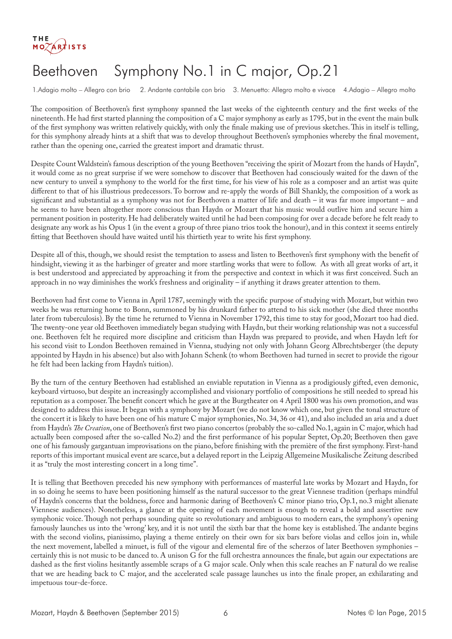

## Beethoven Symphony No.1 in C major, Op.21

1.Adagio molto – Allegro con brio 2. Andante cantabile con brio 3. Menuetto: Allegro molto e vivace 4.Adagio – Allegro molto

The composition of Beethoven's first symphony spanned the last weeks of the eighteenth century and the first weeks of the nineteenth. He had first started planning the composition of a C major symphony as early as 1795, but in the event the main bulk of the first symphony was written relatively quickly, with only the finale making use of previous sketches. This in itself is telling, for this symphony already hints at a shift that was to develop throughout Beethoven's symphonies whereby the final movement, rather than the opening one, carried the greatest import and dramatic thrust.

Despite Count Waldstein's famous description of the young Beethoven "receiving the spirit of Mozart from the hands of Haydn", it would come as no great surprise if we were somehow to discover that Beethoven had consciously waited for the dawn of the new century to unveil a symphony to the world for the first time, for his view of his role as a composer and an artist was quite different to that of his illustrious predecessors. To borrow and re-apply the words of Bill Shankly, the composition of a work as significant and substantial as a symphony was not for Beethoven a matter of life and death – it was far more important – and he seems to have been altogether more conscious than Haydn or Mozart that his music would outlive him and secure him a permanent position in posterity. He had deliberately waited until he had been composing for over a decade before he felt ready to designate any work as his Opus 1 (in the event a group of three piano trios took the honour), and in this context it seems entirely fitting that Beethoven should have waited until his thirtieth year to write his first symphony.

Despite all of this, though, we should resist the temptation to assess and listen to Beethoven's first symphony with the benefit of hindsight, viewing it as the harbinger of greater and more startling works that were to follow. As with all great works of art, it is best understood and appreciated by approaching it from the perspective and context in which it was first conceived. Such an approach in no way diminishes the work's freshness and originality – if anything it draws greater attention to them.

Beethoven had first come to Vienna in April 1787, seemingly with the specific purpose of studying with Mozart, but within two weeks he was returning home to Bonn, summoned by his drunkard father to attend to his sick mother (she died three months later from tuberculosis). By the time he returned to Vienna in November 1792, this time to stay for good, Mozart too had died. The twenty-one year old Beethoven immediately began studying with Haydn, but their working relationship was not a successful one. Beethoven felt he required more discipline and criticism than Haydn was prepared to provide, and when Haydn left for his second visit to London Beethoven remained in Vienna, studying not only with Johann Georg Albrechtsberger (the deputy appointed by Haydn in his absence) but also with Johann Schenk (to whom Beethoven had turned in secret to provide the rigour he felt had been lacking from Haydn's tuition).

By the turn of the century Beethoven had established an enviable reputation in Vienna as a prodigiously gifted, even demonic, keyboard virtuoso, but despite an increasingly accomplished and visionary portfolio of compositions he still needed to spread his reputation as a composer. The benefit concert which he gave at the Burgtheater on 4 April 1800 was his own promotion, and was designed to address this issue. It began with a symphony by Mozart (we do not know which one, but given the tonal structure of the concert it is likely to have been one of his mature C major symphonies, No. 34, 36 or 41), and also included an aria and a duet from Haydn's *The Creation*, one of Beethoven's first two piano concertos (probably the so-called No.1, again in C major, which had actually been composed after the so-called No.2) and the first performance of his popular Septet, Op.20; Beethoven then gave one of his famously gargantuan improvisations on the piano, before finishing with the première of the first symphony. First-hand reports of this important musical event are scarce, but a delayed report in the Leipzig Allgemeine Musikalische Zeitung described it as "truly the most interesting concert in a long time".

It is telling that Beethoven preceded his new symphony with performances of masterful late works by Mozart and Haydn, for in so doing he seems to have been positioning himself as the natural successor to the great Viennese tradition (perhaps mindful of Haydn's concerns that the boldness, force and harmonic daring of Beethoven's C minor piano trio, Op.1, no.3 might alienate Viennese audiences). Nonetheless, a glance at the opening of each movement is enough to reveal a bold and assertive new symphonic voice. Though not perhaps sounding quite so revolutionary and ambiguous to modern ears, the symphony's opening famously launches us into the 'wrong' key, and it is not until the sixth bar that the home key is established. The andante begins with the second violins, pianissimo, playing a theme entirely on their own for six bars before violas and cellos join in, while the next movement, labelled a minuet, is full of the vigour and elemental fire of the scherzos of later Beethoven symphonies – certainly this is not music to be danced to. A unison G for the full orchestra announces the finale, but again our expectations are dashed as the first violins hesitantly assemble scraps of a G major scale. Only when this scale reaches an F natural do we realise that we are heading back to C major, and the accelerated scale passage launches us into the finale proper, an exhilarating and impetuous tour-de-force.